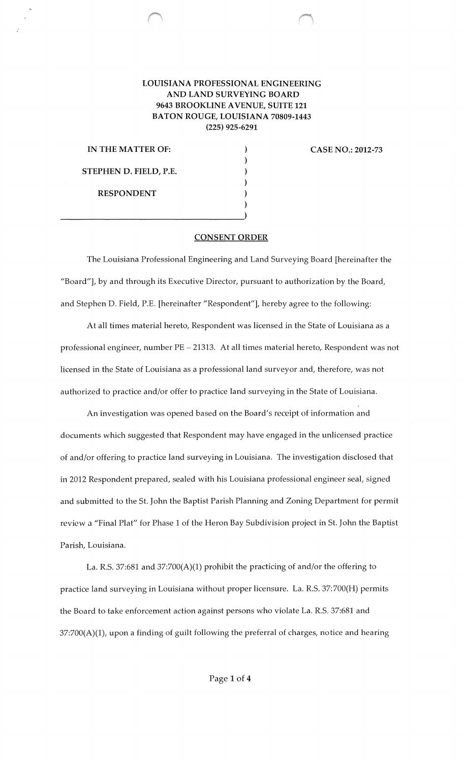## **LOUISIANA PROFESSIONAL ENGINEERING AND LAND SURVEYING BOARD 9643 BROOKLINE A VENUE, SUITE 121 BATON ROUGE, LOUISIANA 70809-1443 (225) 925-6291**

) ) ) ) ) )

**IN THE MATTER OF: STEPHEN D. FIELD,** P.E. **RESPONDENT** 

 $\overline{\phantom{a}}$ 

**CASE NO.: 2012-73** 

## **CONSENT ORDER**

The Louisiana Professional Engineering and Land Surveying Board [hereinafter the "Board"], by and through its Executive Director, pursuant to authorization by the Board, and Stephen D. Field, P.E. [hereinafter "Respondent"], hereby agree to the following:

At all times material hereto, Respondent was licensed in the State of Louisiana as a professional engineer, number PE - 21313. At all times material hereto, Respondent was not licensed in the State of Louisiana as a professional land surveyor and, therefore, was not authorized to practice and/or offer to practice land surveying in the State of Louisiana.

An investigation was opened based on the Board's receipt of information and documents which suggested that Respondent may have engaged in the unlicensed practice of and/or offering to practice land surveying in Louisiana. The investigation disclosed that in 2012 Respondent prepared, sealed with his Louisiana professional engineer seal, signed and submitted to the St. John the Baptist Parish Planning and Zoning Department for permit review a "Final Plat" for Phase 1 of the Heron Bay Subdivision project in St. John the Baptist Parish, Louisiana.

La. R.S. 37:681 and 37:700(A)(1) prohibit the practicing of and/or the offering to practice land surveying in Louisiana without proper licensure. La. R.S. 37:700(H) permits the Board to take enforcement action against persons who violate La. R.S. 37:681 and 37:700(A)(1), upon a finding of guilt following the preferral of charges, notice and hearing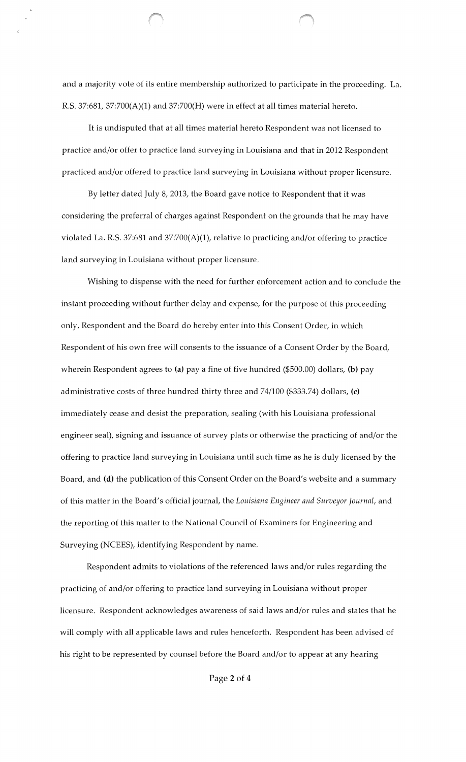and a majority vote of its entire membership authorized to participate in the proceeding. La. R.S. 37:681, 37:700(A)(1) and 37:700(H) were in effect at all times material hereto.

It is undisputed that at all times material hereto Respondent was not licensed to practice and/or offer to practice land surveying in Louisiana and that in 2012 Respondent practiced and/or offered to practice land surveying in Louisiana without proper licensure.

By letter dated July 8, 2013, the Board gave notice to Respondent that it was considering the preferral of charges against Respondent on the grounds that he may have violated La. R.S. 37:681 and 37:700(A)(1), relative to practicing and/or offering to practice land surveying in Louisiana without proper licensure.

Wishing to dispense with the need for further enforcement action and to conclude the instant proceeding without further delay and expense, for the purpose of this proceeding only, Respondent and the Board do hereby enter into this Consent Order, in which Respondent of his own free will consents to the issuance of a Consent Order by the Board, wherein Respondent agrees to (a) pay a fine of five hundred (\$500.00) dollars, (b) pay administrative costs of three hundred thirty three and  $74/100$  (\$333.74) dollars, (c) immediately cease and desist the preparation, sealing (with his Louisiana professional engineer seal), signing and issuance of survey plats or otherwise the practicing of and/or the offering to practice land surveying in Louisiana until such time as he is duly licensed by the Board, and (d) the publication of this Consent Order on the Board's website and a summary of this matter in the Board's official journal, the *Louisiana Engineer and Surveyor Journal,* and the reporting of this matter to the National Council of Examiners for Engineering and Surveying (NCEES), identifying Respondent by name.

Respondent admits to violations of the referenced laws and/or rules regarding the practicing of and/or offering to practice land surveying in Louisiana without proper licensure. Respondent acknowledges awareness of said laws and/or rules and states that he will comply with all applicable laws and rules henceforth. Respondent has been advised of his right to be represented by counsel before the Board and/or to appear at any hearing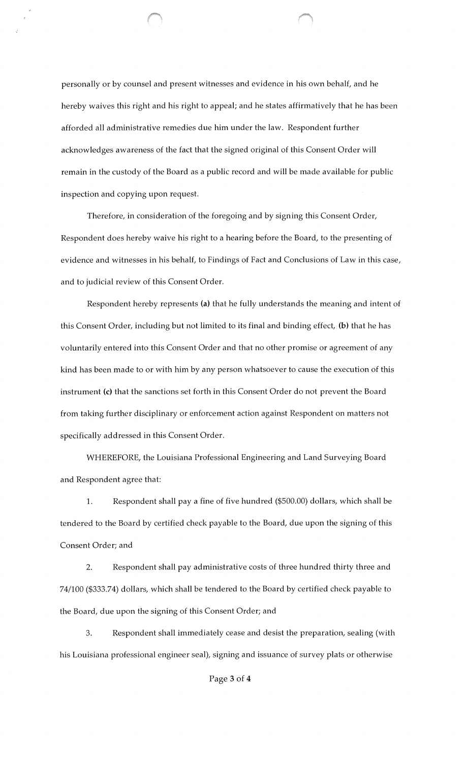personally or by counsel and present witnesses and evidence in his own behalf, and he hereby waives this right and his right to appeal; and he states affirmatively that he has been afforded all administrative remedies due him under the law. Respondent further acknowledges awareness of the fact that the signed original of this Consent Order will remain in the custody of the Board as a public record and will be made available for public inspection and copying upon request.

Therefore, in consideration of the foregoing and by signing this Consent Order, Respondent does hereby waive his right to a hearing before the Board, to the presenting of evidence and witnesses in his behalf, to Findings of Fact and Conclusions of Law in this case, and to judicial review of this Consent Order.

Respondent hereby represents (a) that he fully understands the meaning and intent of this Consent Order, including but not limited to its final and binding effect, (b) that he has voluntarily entered into this Consent Order and that no other promise or agreement of any kind has been made to or with him by any person whatsoever to cause the execution of this instrument (c) that the sanctions set forth in this Consent Order do not prevent the Board from taking further disciplinary or enforcement action against Respondent on matters not specifically addressed in this Consent Order.

WHEREFORE, the Louisiana Professional Engineering and Land Surveying Board and Respondent agree that:

1. Respondent shall pay a fine of five hundred (\$500.00) dollars, which shall be tendered to the Board by certified check payable to the Board, due upon the signing of this Consent Order; and

2. Respondent shall pay administrative costs of three hundred thirty three and 74/100 (\$333.74) dollars, which shall be tendered to the Board by certified check payable to the Board, due upon the signing of this Consent Order; and

3. Respondent shall immediately cease and desist the preparation, sealing (with his Louisiana professional engineer seal), signing and issuance of survey plats or otherwise